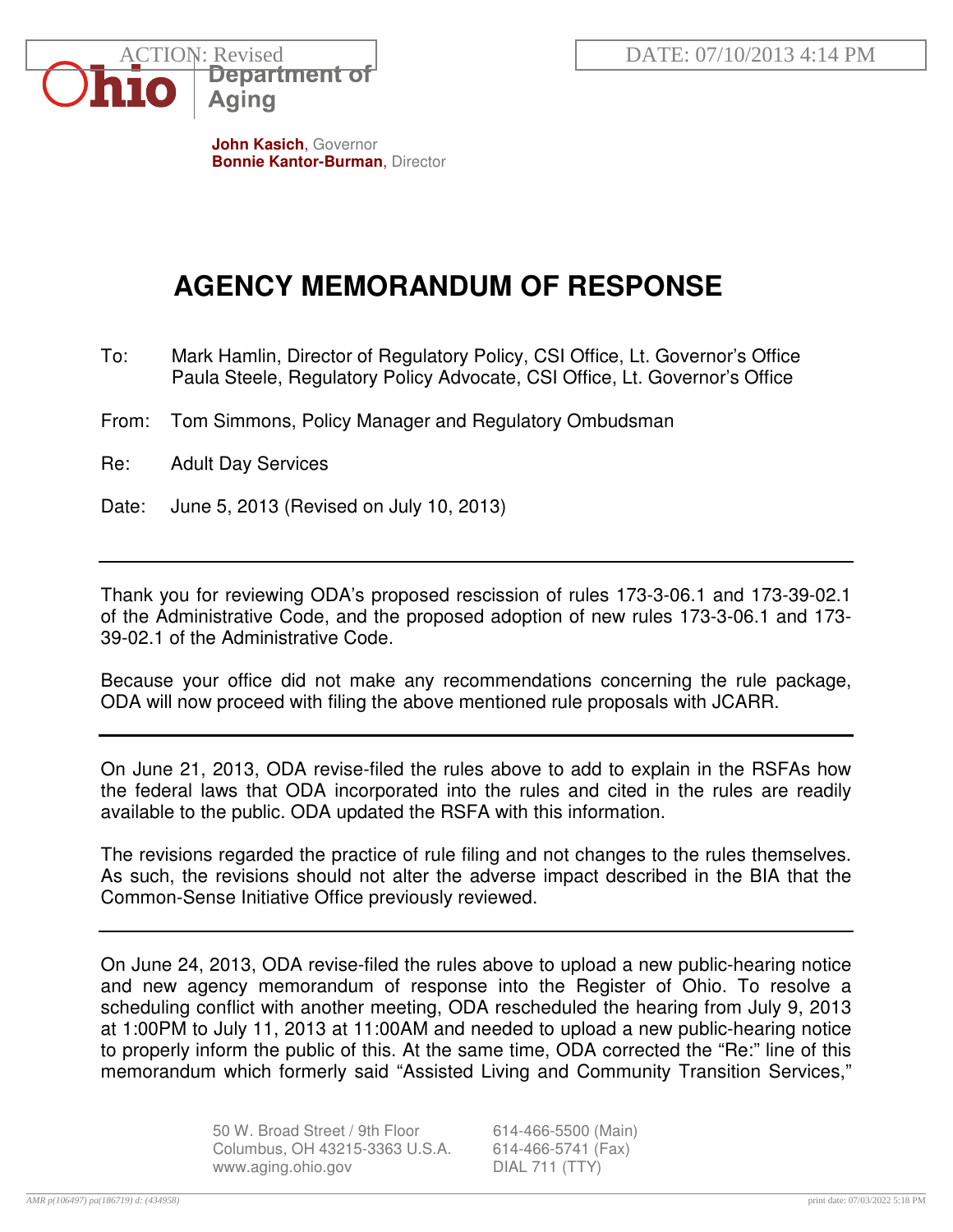

**John Kasich**, Governor **Bonnie Kantor-Burman**, Director

## **AGENCY MEMORANDUM OF RESPONSE**

- To: Mark Hamlin, Director of Regulatory Policy, CSI Office, Lt. Governor's Office Paula Steele, Regulatory Policy Advocate, CSI Office, Lt. Governor's Office
- From: Tom Simmons, Policy Manager and Regulatory Ombudsman
- Re: Adult Day Services
- Date: June 5, 2013 (Revised on July 10, 2013)

Thank you for reviewing ODA's proposed rescission of rules 173-3-06.1 and 173-39-02.1 of the Administrative Code, and the proposed adoption of new rules 173-3-06.1 and 173- 39-02.1 of the Administrative Code.

Because your office did not make any recommendations concerning the rule package, ODA will now proceed with filing the above mentioned rule proposals with JCARR.

On June 21, 2013, ODA revise-filed the rules above to add to explain in the RSFAs how the federal laws that ODA incorporated into the rules and cited in the rules are readily available to the public. ODA updated the RSFA with this information.

The revisions regarded the practice of rule filing and not changes to the rules themselves. As such, the revisions should not alter the adverse impact described in the BIA that the Common-Sense Initiative Office previously reviewed.

On June 24, 2013, ODA revise-filed the rules above to upload a new public-hearing notice and new agency memorandum of response into the Register of Ohio. To resolve a scheduling conflict with another meeting, ODA rescheduled the hearing from July 9, 2013 at 1:00PM to July 11, 2013 at 11:00AM and needed to upload a new public-hearing notice to properly inform the public of this. At the same time, ODA corrected the "Re:" line of this memorandum which formerly said "Assisted Living and Community Transition Services,"

> 50 W. Broad Street / 9th Floor 614-466-5500 (Main) Columbus, OH 43215-3363 U.S.A. 614-466-5741 (Fax) www.aging.ohio.gov DIAL 711 (TTY)